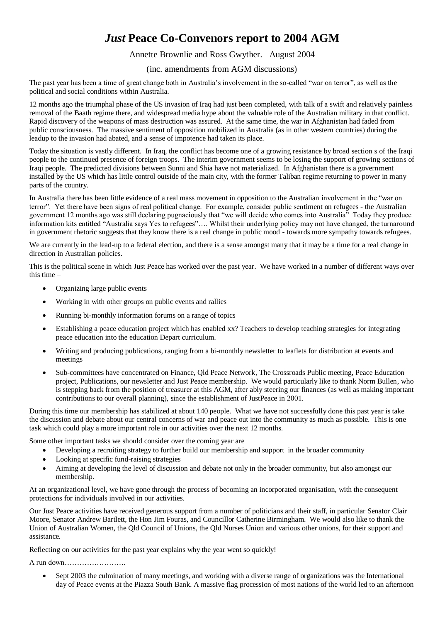## *Just* **Peace Co-Convenors report to 2004 AGM**

## Annette Brownlie and Ross Gwyther. August 2004

## (inc. amendments from AGM discussions)

The past year has been a time of great change both in Australia's involvement in the so-called "war on terror", as well as the political and social conditions within Australia.

12 months ago the triumphal phase of the US invasion of Iraq had just been completed, with talk of a swift and relatively painless removal of the Baath regime there, and widespread media hype about the valuable role of the Australian military in that conflict. Rapid discovery of the weapons of mass destruction was assured. At the same time, the war in Afghanistan had faded from public consciousness. The massive sentiment of opposition mobilized in Australia (as in other western countries) during the leadup to the invasion had abated, and a sense of impotence had taken its place.

Today the situation is vastly different. In Iraq, the conflict has become one of a growing resistance by broad section s of the Iraqi people to the continued presence of foreign troops. The interim government seems to be losing the support of growing sections of Iraqi people. The predicted divisions between Sunni and Shia have not materialized. In Afghanistan there is a government installed by the US which has little control outside of the main city, with the former Taliban regime returning to power in many parts of the country.

In Australia there has been little evidence of a real mass movement in opposition to the Australian involvement in the "war on terror". Yet there have been signs of real political change. For example, consider public sentiment on refugees - the Australian government 12 months ago was still declaring pugnaciously that "we will decide who comes into Australia" Today they produce information kits entitled "Australia says Yes to refugees"…. Whilst their underlying policy may not have changed, the turnaround in government rhetoric suggests that they know there is a real change in public mood - towards more sympathy towards refugees.

We are currently in the lead-up to a federal election, and there is a sense amongst many that it may be a time for a real change in direction in Australian policies.

This is the political scene in which Just Peace has worked over the past year. We have worked in a number of different ways over this time –

- Organizing large public events
- Working in with other groups on public events and rallies
- Running bi-monthly information forums on a range of topics
- Establishing a peace education project which has enabled xx? Teachers to develop teaching strategies for integrating peace education into the education Depart curriculum.
- Writing and producing publications, ranging from a bi-monthly newsletter to leaflets for distribution at events and meetings
- Sub-committees have concentrated on Finance, Qld Peace Network, The Crossroads Public meeting, Peace Education project, Publications, our newsletter and Just Peace membership. We would particularly like to thank Norm Bullen, who is stepping back from the position of treasurer at this AGM, after ably steering our finances (as well as making important contributions to our overall planning), since the establishment of JustPeace in 2001.

During this time our membership has stabilized at about 140 people. What we have not successfully done this past year is take the discussion and debate about our central concerns of war and peace out into the community as much as possible. This is one task which could play a more important role in our activities over the next 12 months.

Some other important tasks we should consider over the coming year are

- Developing a recruiting strategy to further build our membership and support in the broader community
- Looking at specific fund-raising strategies
- Aiming at developing the level of discussion and debate not only in the broader community, but also amongst our membership.

At an organizational level, we have gone through the process of becoming an incorporated organisation, with the consequent protections for individuals involved in our activities.

Our Just Peace activities have received generous support from a number of politicians and their staff, in particular Senator Clair Moore, Senator Andrew Bartlett, the Hon Jim Fouras, and Councillor Catherine Birmingham. We would also like to thank the Union of Australian Women, the Qld Council of Unions, the Qld Nurses Union and various other unions, for their support and assistance.

Reflecting on our activities for the past year explains why the year went so quickly!

A run down…………………….

• Sept 2003 the culmination of many meetings, and working with a diverse range of organizations was the International day of Peace events at the Piazza South Bank. A massive flag procession of most nations of the world led to an afternoon